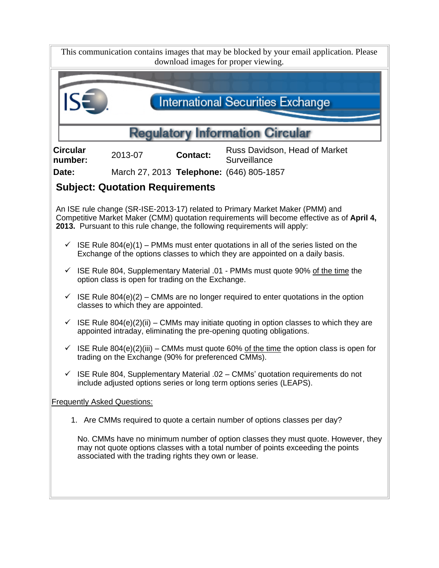